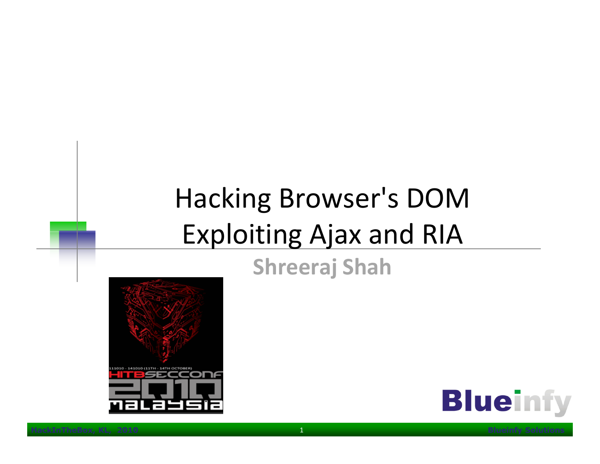# Hacking Browser's DOM Exploiting Ajax and RIA

#### Shreeraj Shah



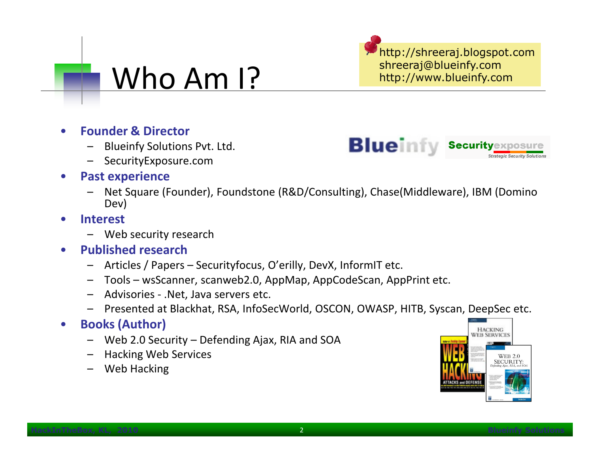#### Who Am I?

http://shreeraj.blogspot.comshreeraj@blueinfy.comhttp://www.blueinfy.com

**Blueinfy Security**e

- • Founder & Director
	- Blueinfy Solutions Pvt. Ltd.
	- SecurityExposure.com
- • Past experience
	- Net Square (Founder), Foundstone (R&D/Consulting), Chase(Middleware), IBM (Domino Dev)
- • Interest
	- Web security research
- -
	-
	-
	-
- -
	-
	-

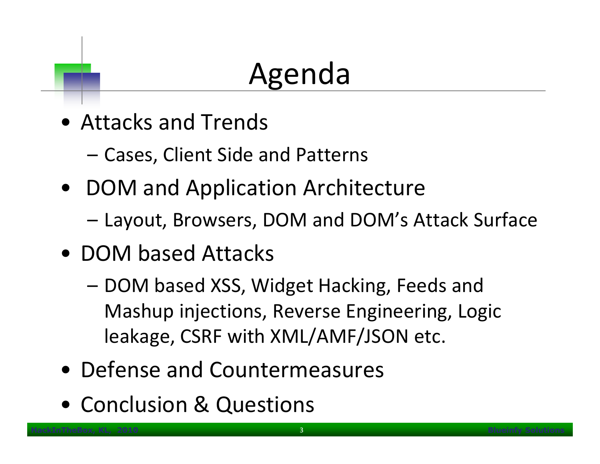# Agenda

- Attacks and Trends
	- –Cases, Client Side and Patterns
- DOM and Application Architecture
	- –Layout, Browsers, DOM and DOM's Attack Surface
- DOM based Attacks
	- DOM based XSS, Widget Hacking, Feeds and Mashup injections, Reverse Engineering, Logic leakage, CSRF with XML/AMF/JSON etc.
- Defense and Countermeasures
- Conclusion & Questions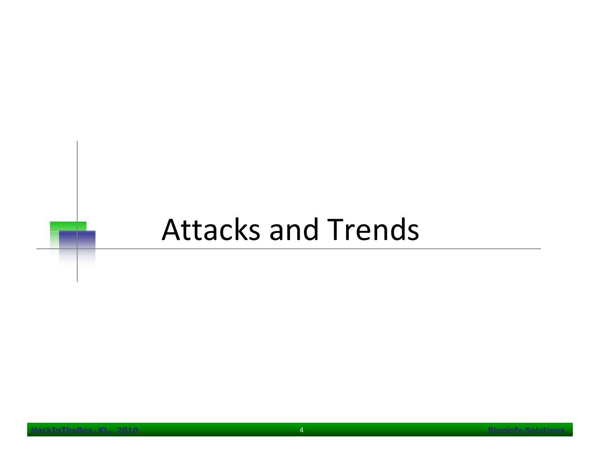# Attacks and Trends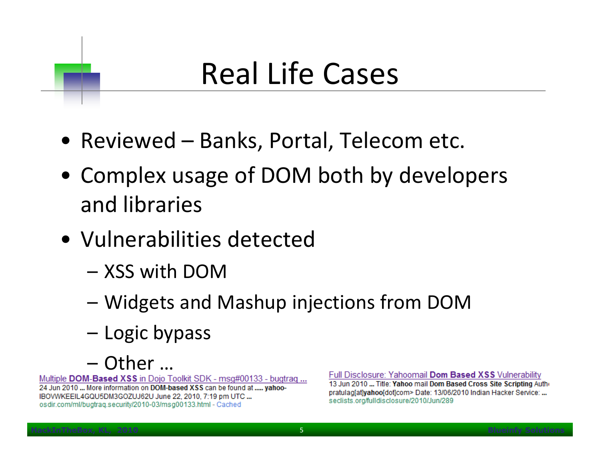# Real Life Cases

- Reviewed Banks, Portal, Telecom etc.
- Complex usage of DOM both by developers and libraries
- Vulnerabilities detected
	- –XSS with DOM
	- Widgate and Widgets and Mashup injections from DOM
	- Logic bypass
	- Other ...<br>ased XSS in Doio T

24 Jun 2010 ... More information on DOM-based XSS can be found at ..... yahoo-IBOVWKEEIL4GQU5DM3GOZUJ62U June 22, 2010, 7:19 pm UTC ... osdir.com/ml/bugtraq.security/2010-03/msg00133.html - Cached

#### Full Disclosure: Yahoomail Dom Based XSS Vulnerability

13 Jun 2010 ... Title: Yahoo mail Dom Based Cross Site Scripting Autho pratulag[at]yahoo[dot]com> Date: 13/06/2010 Indian Hacker Service: ... seclists.org/fulldisclosure/2010/Jun/289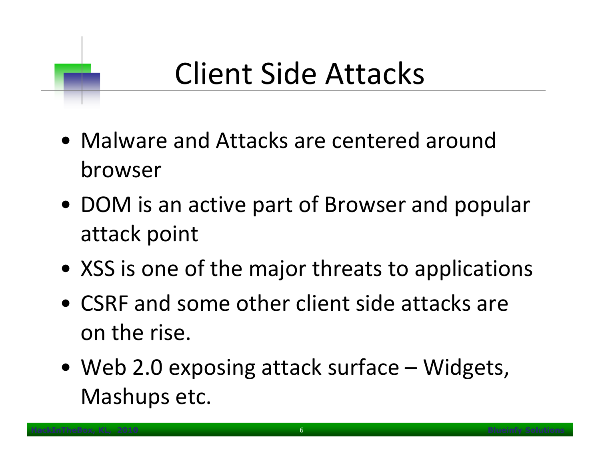# Client Side Attacks

- Malware and Attacks are centered around browser
- DOM is an active part of Browser and popular attack point
- XSS is one of the major threats to applications
- CSRF and some other client side attacks are on the rise.
- Web 2.0 exposing attack surface Widgets, Mashups etc.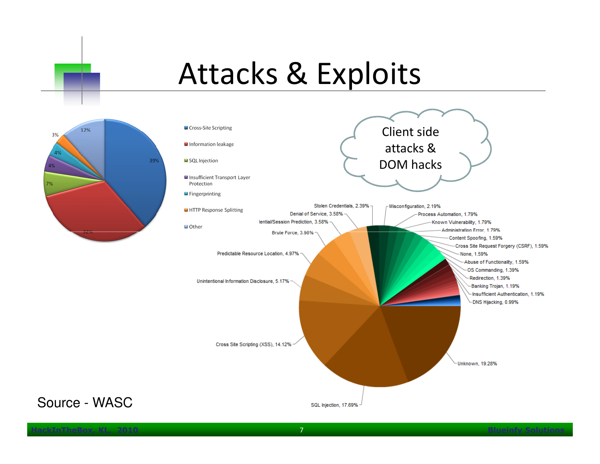# Attacks & Exploits





Source - WASC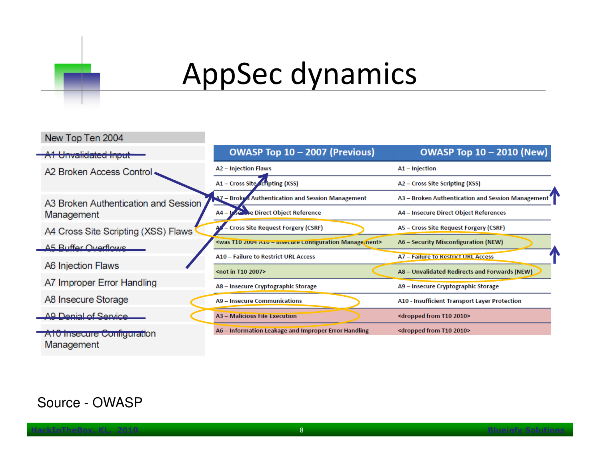

# AppSec dynamics

| New Top Ten 2004                         |                                                                                   |                                                   |
|------------------------------------------|-----------------------------------------------------------------------------------|---------------------------------------------------|
| A1 Unvalidated Input                     | OWASP Top 10 - 2007 (Previous)                                                    | <b>OWASP Top 10 - 2010 (New)</b>                  |
| A2 Broken Access Control                 | A2 - Injection Flaws                                                              | A1 - Injection                                    |
|                                          | A1 - Cross Site Scripting (XSS)                                                   | A2 – Cross Site Scripting (XSS)                   |
| A3 Broken Authentication and Session     | <b>A7 - Broken Authentication and Session Management</b>                          | A3 - Broken Authentication and Session Management |
| Management                               | A4 - <b>Use the Direct Object Reference</b>                                       | A4 - Insecure Direct Object References            |
| A4 Cross Site Scripting (XSS) Flaws      | - Cross Site Request Forgery (CSRF)                                               | A5 - Cross Site Request Forgery (CSRF)            |
| A5 Ruffer Overflows                      | <was -="" 2004="" a10="" configuration="" insecure="" management="" t10=""></was> | A6 - Security Misconfiguration (NEW)              |
|                                          | A10 - Failure to Restrict URL Access                                              | A7 - Failure to Restrict URL Access               |
| <b>A6 Injection Flaws</b>                | <not 2007="" in="" t10=""></not>                                                  | A8 - Unvalidated Redirects and Forwards (NEW)     |
| A7 Improper Error Handling               | A8 - Insecure Cryptographic Storage                                               | A9 - Insecure Cryptographic Storage               |
| A8 Insecure Storage                      | A9 - Insecure Communications                                                      | A10 - Insufficient Transport Layer Protection     |
| AQ Denial of Service                     | A3 - Malicious File Execution                                                     | <dropped 2010="" from="" t10=""></dropped>        |
| A10 Insecure Configuration<br>Management | A6 - Information Leakage and Improper Error Handling                              | <dropped 2010="" from="" t10=""></dropped>        |

#### Source - OWASP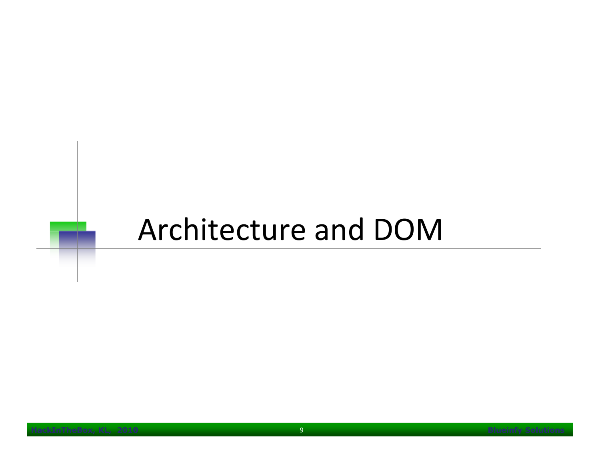#### Architecture and DOM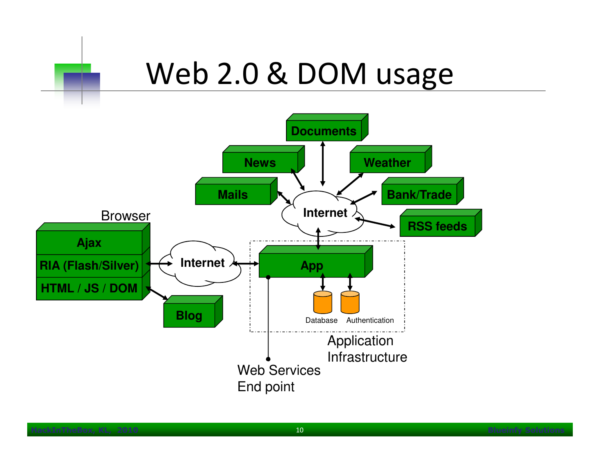#### Web 2.0 & DOM usage

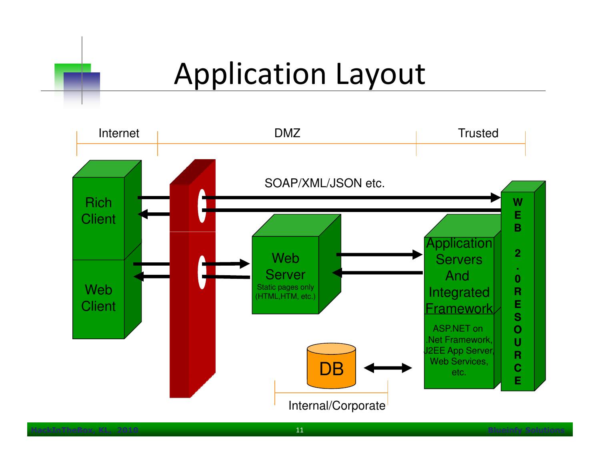### Application Layout

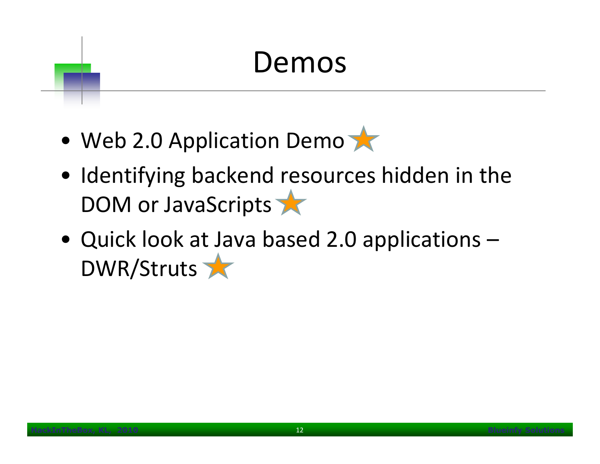# Demos

- Web 2.0 Application Demo
- Identifying backend resources hidden in the DOM or JavaScripts
- Quick look at Java based 2.0 applications  $DWR/Struts$  , and the contract of  $R$  and  $R$  and  $R$  and  $R$  and  $R$  and  $R$  and  $R$  and  $R$  and  $R$  and  $R$  and  $R$  and  $R$  and  $R$  and  $R$  and  $R$  and  $R$  and  $R$  and  $R$  and  $R$  and  $R$  and  $R$  and  $R$  and  $R$  and  $R$  and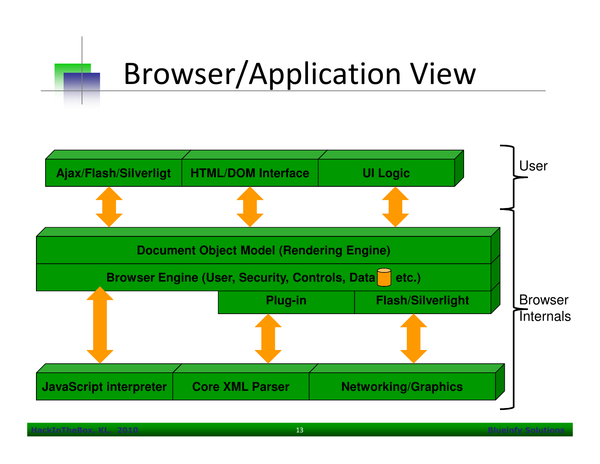# Browser/Application View

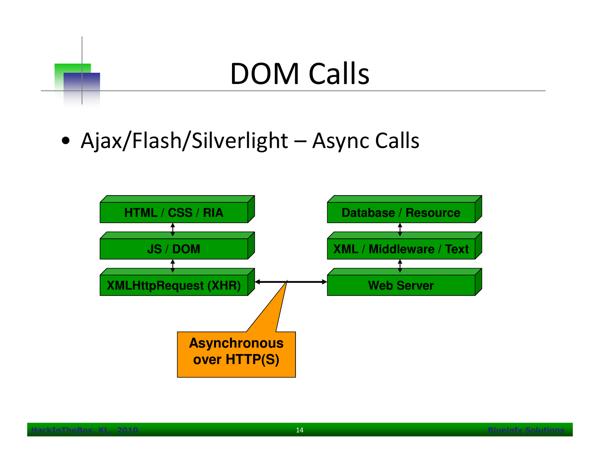# DOM Calls

• Ajax/Flash/Silverlight – Async Calls

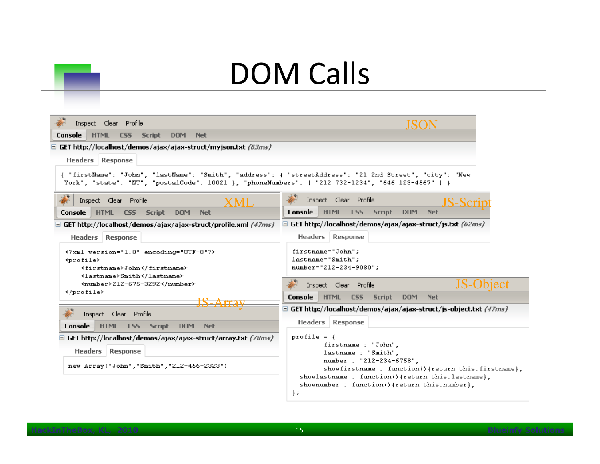# DOM Calls

| Inspect Clear Profile                                                                                                                                                                                        |                                                                                                                                                                                                                                                              |  |  |
|--------------------------------------------------------------------------------------------------------------------------------------------------------------------------------------------------------------|--------------------------------------------------------------------------------------------------------------------------------------------------------------------------------------------------------------------------------------------------------------|--|--|
| <b>Script</b><br><b>Console</b><br><b>HTML</b><br><b>DOM</b><br><b>Net</b><br>CSS <sub>1</sub>                                                                                                               |                                                                                                                                                                                                                                                              |  |  |
| $\Box$ GET http://localhost/demos/ajax/ajax-struct/myjson.txt <i>(63ms)</i>                                                                                                                                  |                                                                                                                                                                                                                                                              |  |  |
| <b>Headers</b> Response                                                                                                                                                                                      |                                                                                                                                                                                                                                                              |  |  |
| { "firstName": "John", "lastName": "Smith", "address": { "streetAddress": "21 2nd Street", "city": "New<br>York", "state": "NY", "postalCode": 10021 }, "phoneNumbers": [ "212 732-1234", "646 123-4567" ] } |                                                                                                                                                                                                                                                              |  |  |
| Inspect Clear Profile<br>XML                                                                                                                                                                                 | Inspect Clear Profile<br><b>JS-Scru</b>                                                                                                                                                                                                                      |  |  |
| <b>Console</b><br><b>HTML</b><br><b>Script</b><br><b>Net</b><br><b>CSS</b><br><b>DOM</b>                                                                                                                     | <b>Console</b><br><b>HTML</b><br><b>Script</b><br><b>DOM</b><br><b>Net</b><br>CSS.                                                                                                                                                                           |  |  |
| GET http://localhost/demos/ajax/ajax-struct/profile.xml <i>(47ms)</i>                                                                                                                                        | $\Box$ GET http://localhost/demos/ajax/ajax-struct/js.txt (62ms)                                                                                                                                                                                             |  |  |
| <b>Headers Response</b>                                                                                                                                                                                      | <b>Headers Response</b>                                                                                                                                                                                                                                      |  |  |
| xml version="1.0" encoding="UTF-8"?<br><profile><br/><firstname>John</firstname><br/><lastname>Smith</lastname></profile>                                                                                    | firstname="John";<br>lastname="Smith";<br>number="212-234-9080";                                                                                                                                                                                             |  |  |
| <number>212-675-3292</number>                                                                                                                                                                                | JS-Object<br>Inspect Clear Profile                                                                                                                                                                                                                           |  |  |
|                                                                                                                                                                                                              | Console<br><b>HTML</b><br><b>Script</b><br><b>DOM</b><br><b>Net</b><br>CSS <sub>1</sub>                                                                                                                                                                      |  |  |
| Inspect Clear Profile                                                                                                                                                                                        | $\Box$ GET http://localhost/demos/ajax/ajax-struct/js-object.txt <i>(47ms)</i>                                                                                                                                                                               |  |  |
| <b>Console</b><br><b>HTML</b><br><b>CSS</b><br><b>Script</b><br><b>DOM</b><br><b>Net</b>                                                                                                                     | Headers   Response                                                                                                                                                                                                                                           |  |  |
| $\Box$ GET http://localhost/demos/ajax/ajax-struct/array.txt (78 $ms$ )<br>Headers<br><b>Response</b><br>new Array("John", "Smith", "212-456-2323")                                                          | profile = $\{$<br>firstname : "John",<br>lastname : "Smith",<br>number : "212-234-6758",<br>showfirstname : function() {return this.firstname},<br>showlastname : function()(return this.lastname),<br>shownumber: function()(return this.number),<br>$\}$ ; |  |  |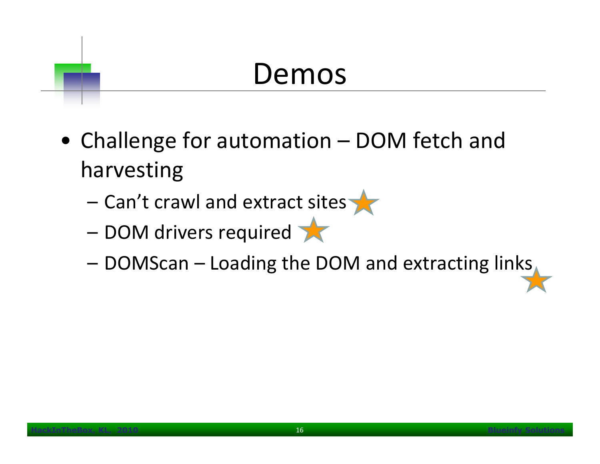#### Demos

- Challenge for automation DOM fetch and harvesting
	- –Can't crawl and extract sites
	- – $-$  DOM drivers required
	- –DOMScan – Loading the DOM and extracting links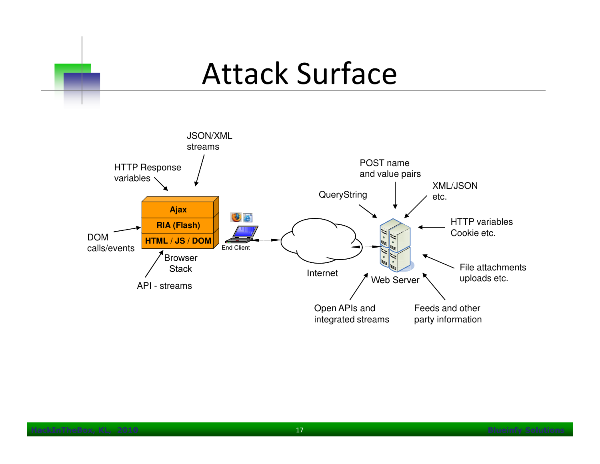#### Attack Surface

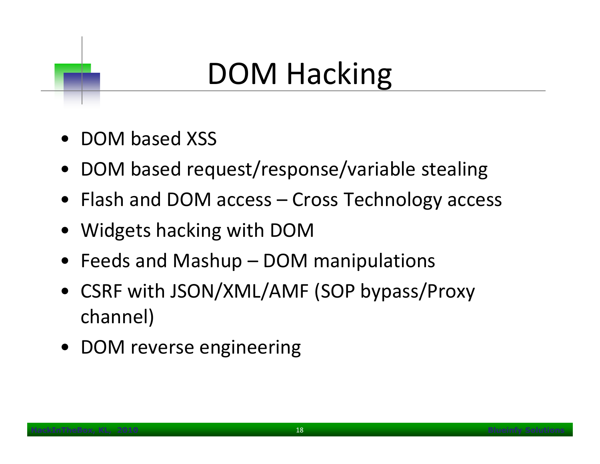# DOM Hacking

- DOM based XSS
- •DOM based request/response/variable stealing
- Flash and DOM access Cross Technology access
- Widgets hacking with DOM
- Feeds and Mashup DOM manipulations
- • CSRF with JSON/XML/AMF (SOP bypass/Proxy channel)
- DOM reverse engineering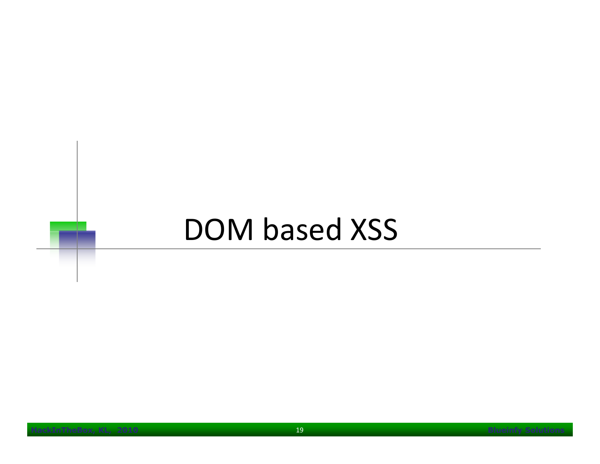# DOM based XSS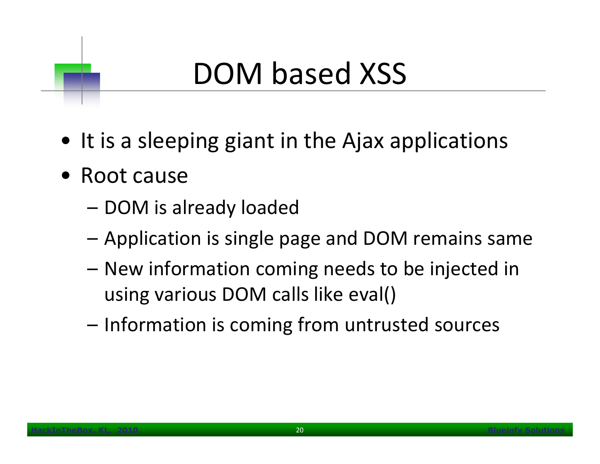# DOM based XSS

- It is a sleeping giant in the Ajax applications
- Root cause
	- DOM is already loaded
	- –Application is single page and DOM remains same
	- – New information coming needs to be injected in using various DOM calls like eval()
	- Information is coming from untrusted sources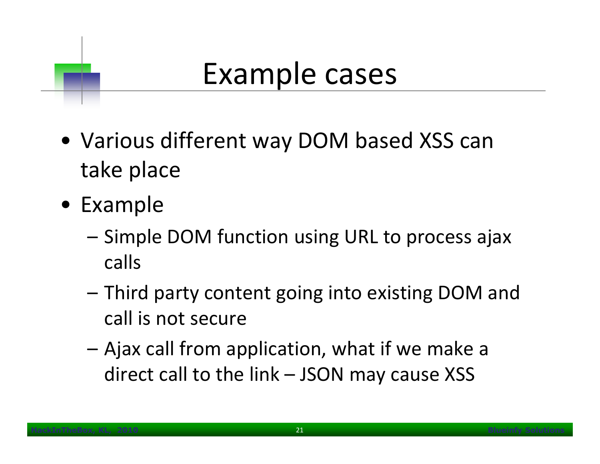## Example cases

- Various different way DOM based XSS can take place
- Example
	- Simple DOM function using URL to process ajax calls
	- – Third party content going into existing DOM and call is not secure
	- – Ajax call from application, what if we make a direct call to the link – JSON may cause XSS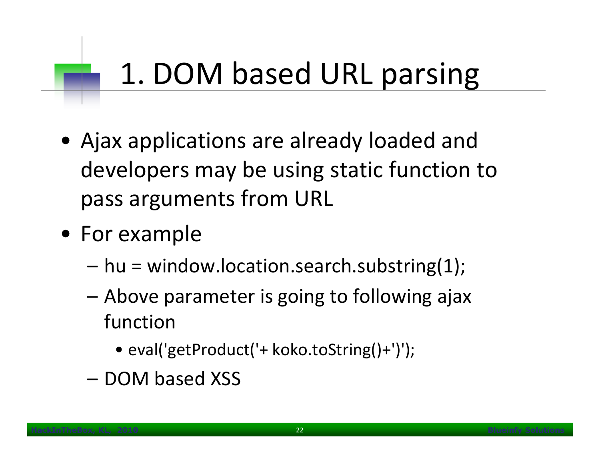# 1. DOM based URL parsing

- Ajax applications are already loaded and developers may be using static function to pass arguments from URL
- For example
	- –hu = window.location.search.substring(1);
	- Above parameter is going to following ajax function
		- eval('getProduct('+ koko.toString()+')');
	- –DOM based XSS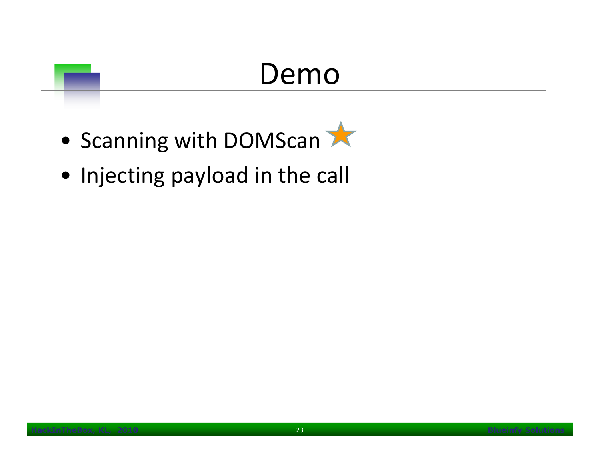#### Demo

- Scanning with DOMScan
- Injecting payload in the call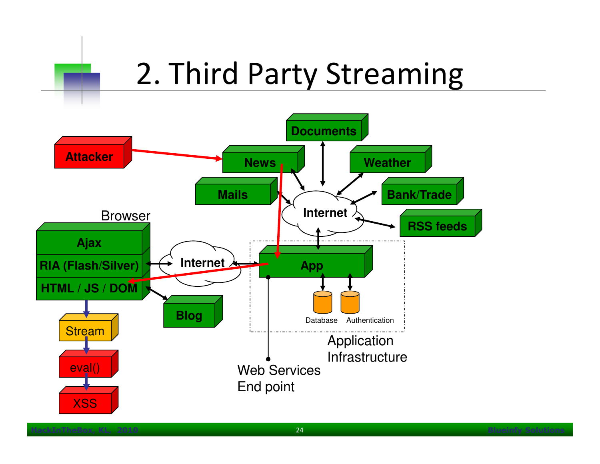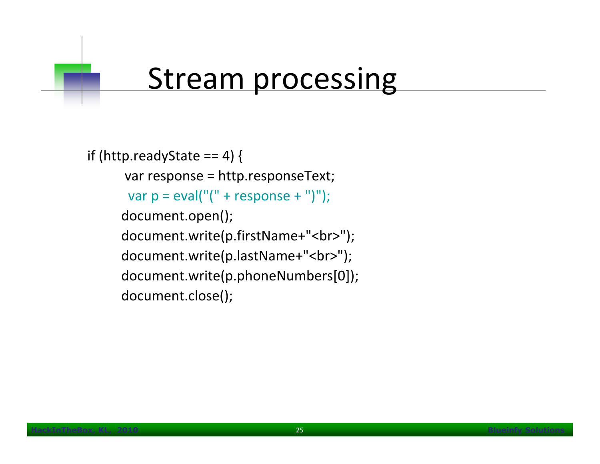#### **Stream processing**

```
if (http.readyState == 4) {
     var response = http.responseText; var p = eval("(" + response + ")");document.open(); document.write(p.firstName+"<br>");
     document.write(p.lastName+"<br>");
     document.write(p.phoneNumbers[0]); document.close();
```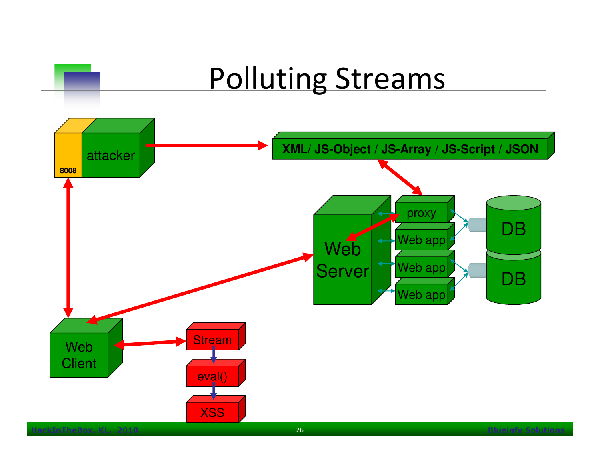# Polluting Streams

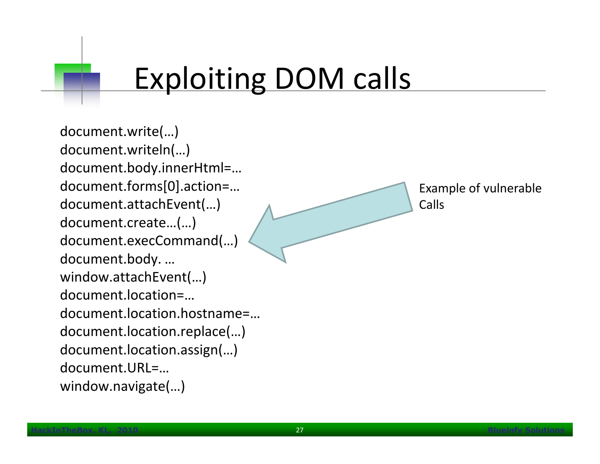# Exploiting DOM calls

document.write(…) document.writeln(…) document.body.innerHtml=… document.forms[0].action=…document.attachEvent(…) document.create…(…) document.execCommand(…) document.body. … window.attachEvent(…) document.location=… document.location.hostname=… document.location.replace(…) document.location.assign(…)  $document.URI = ...$ window.navigate(…)

Example of vulnerableCalls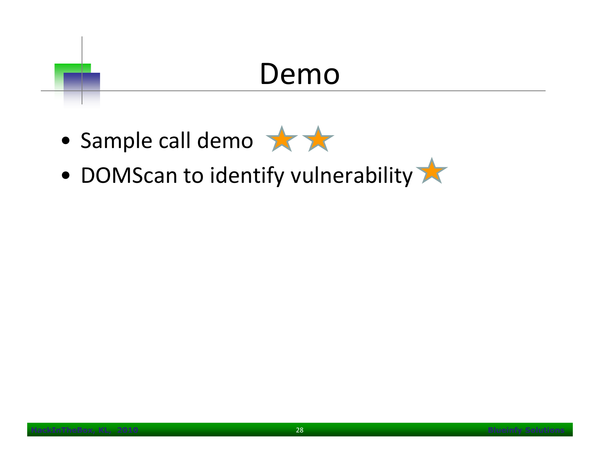#### Demo

- Sample call demo
- DOMScan to identify vulnerability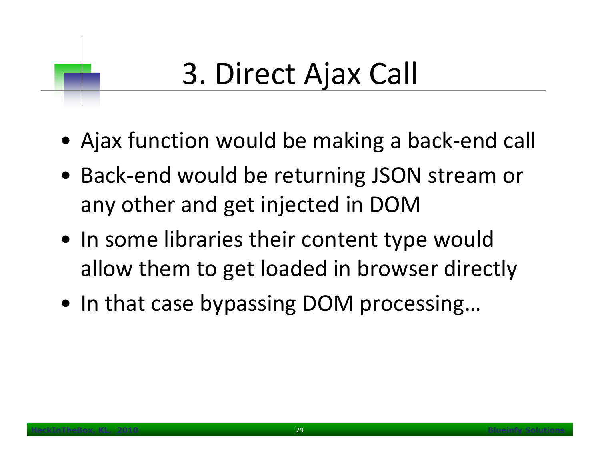# 3. Direct Ajax Call

- Ajax function would be making a back-end call
- Back-end would be returning JSON stream or any other and get injected in DOM
- In some libraries their content type would allow them to get loaded in browser directly
- In that case bypassing DOM processing…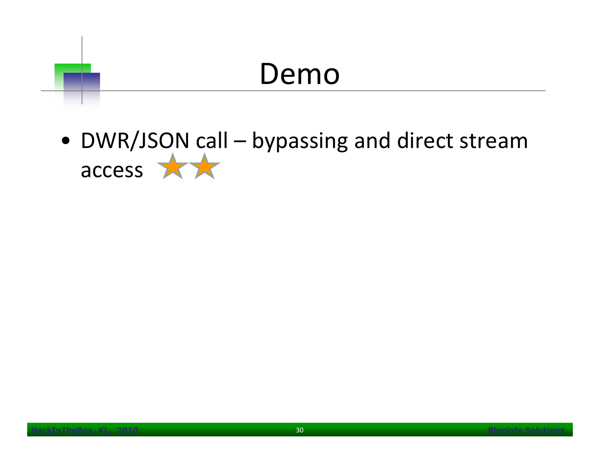

• DWR/JSON call – bypassing and direct stream access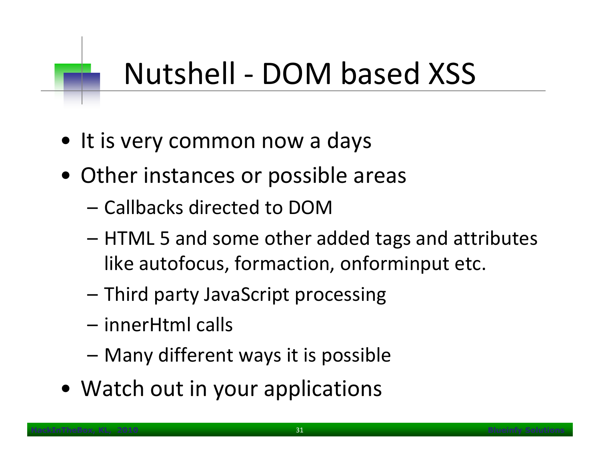# Nutshell - DOM based XSS

- It is very common now a days
- Other instances or possible areas
	- Callbacks directed to DOM
	- $-$  HTML 5 and come other  $-$  HTML 5 and some other added tags and attributes like autofocus, formaction, onforminput etc.
	- –Third party JavaScript processing
	- innerHtml calls
	- –Many different ways it is possible
- Watch out in your applications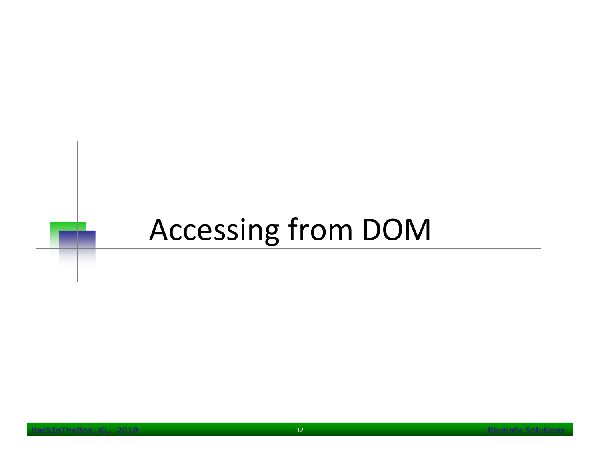# Accessing from DOM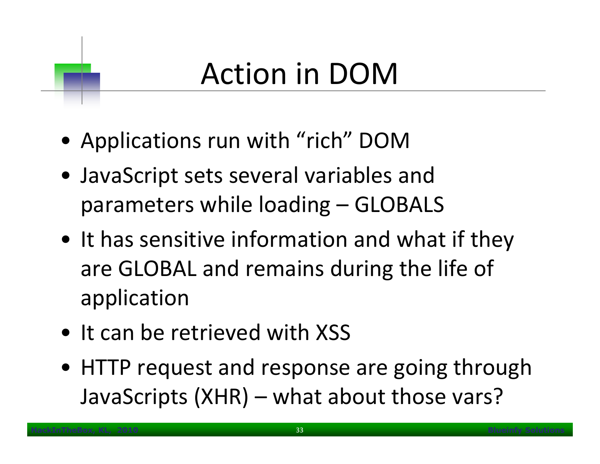# Action in DOM

- Applications run with "rich" DOM
- JavaScript sets several variables and parameters while loading – GLOBALS
- It has sensitive information and what if they are GLOBAL and remains during the life of application
- It can be retrieved with XSS
- HTTP request and response are going through JavaScripts (XHR) – what about those vars?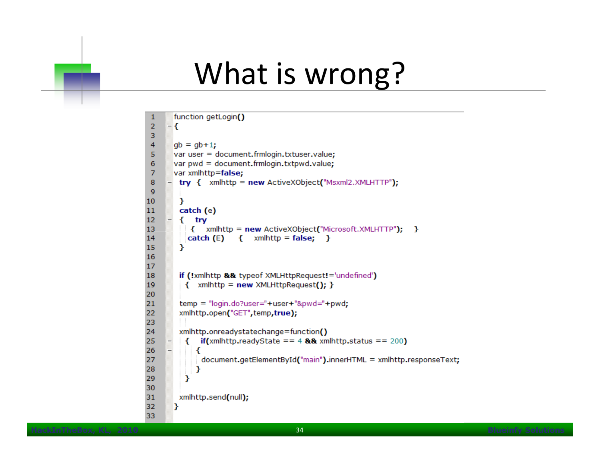#### What is wrong?

```
function getLogin()
 1
 \overline{2}- {
 3
 4
       gb = gb + 1;var user = document.frmlogin.txtuser.value;
 5
       var pwd = document.frmlogin.txtpwd.value;
 6
 \overline{7}var xmlhttp=false;
     \equiv try { xmlhttp = new ActiveXObject("Msxml2.XMLHTTP");
 8
 9
10
        У
11
        catch (e)
12
     ₩
        \{ try
13
           { xmlhttp = new ActiveXObject("Microsoft.XMLHTTP"); }
          catch (E) { xmlhttp = false; }
14
15
        Y
16
17
        if (!xmlhttp && typeof XMLHttpRequest!='undefined')
18
          \{ xmlhttp = new XMLHttpRequest(); \}19
20
        temp = "login.do?user="+user+"&pwd="+pwd;
21
        xmlhttp.open("GET", temp, true);
22
23
24
        xmlhttp.onreadystatechange=function()
          \{ if(xmlhttp.readyState == 4 && xmlhttp.status == 200)
25
     \overline{\phantom{a}}26
             ₹
27
              document.getElementById("main").innerHTML = xmlhttp.responseText;
28
             ł
29
          Y
30
31
        xmlhttp.send(null);
32
       E.
33
```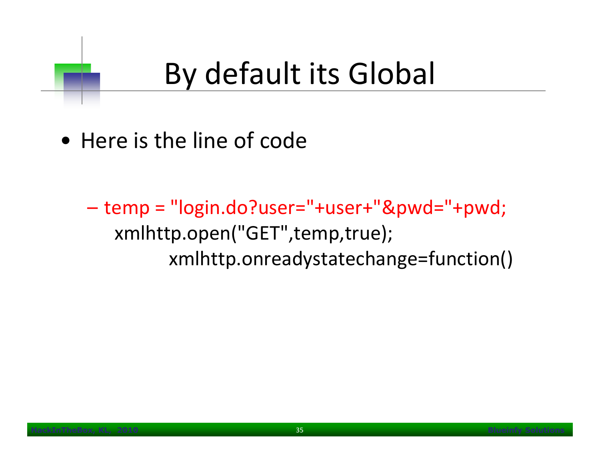# By default its Global

- Here is the line of code
	- temp = "login.do?user="+user+"&pwd="+pwd; xmlhttp.open("GET",temp,true); xmlhttp.onreadystatechange=function()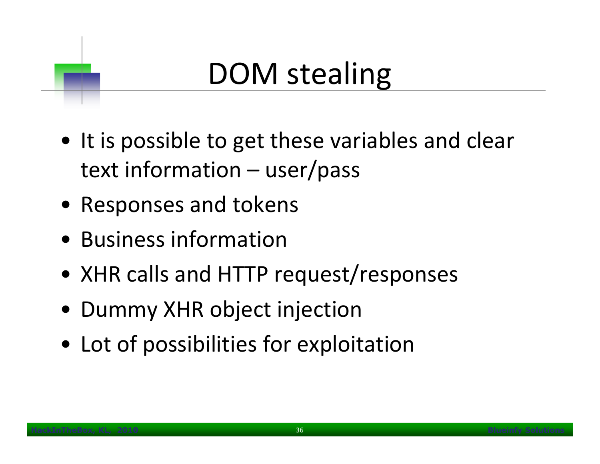# DOM stealing

- It is possible to get these variables and clear text information – user/pass
- Responses and tokens
- Business information
- XHR calls and HTTP request/responses
- Dummy XHR object injection
- Lot of possibilities for exploitation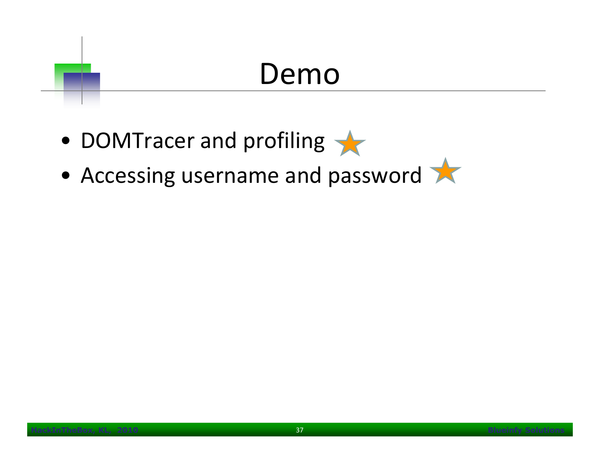### Demo

- DOMTracer and profiling
- Accessing username and password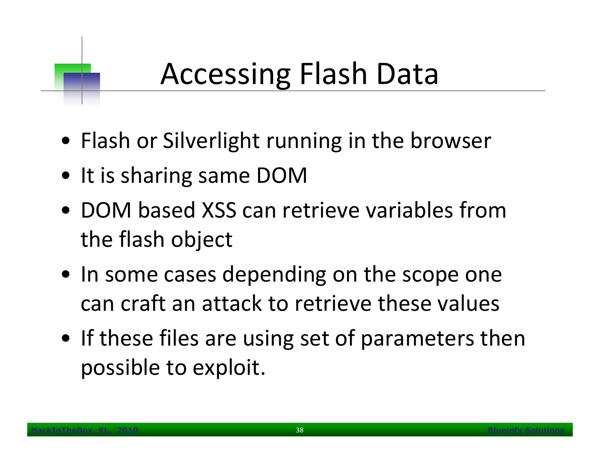# Accessing Flash Data

- Flash or Silverlight running in the browser
- It is sharing same DOM
- DOM based XSS can retrieve variables from the flash object
- In some cases depending on the scope one can craft an attack to retrieve these values
- If these files are using set of parameters then possible to exploit.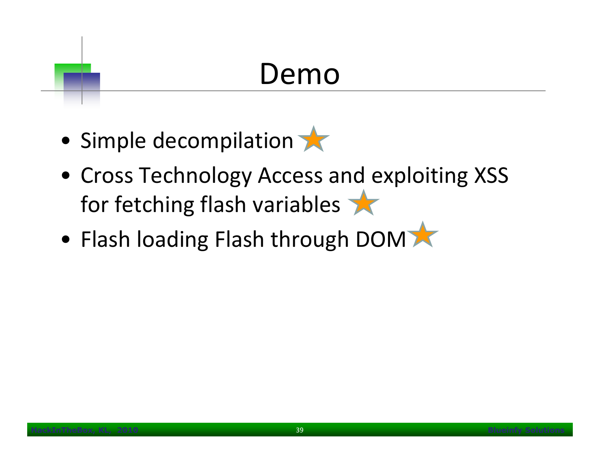## Demo

- Simple decompilation
- Cross Technology Access and exploiting XSS for fetching flash variables
- Flash loading Flash through DOM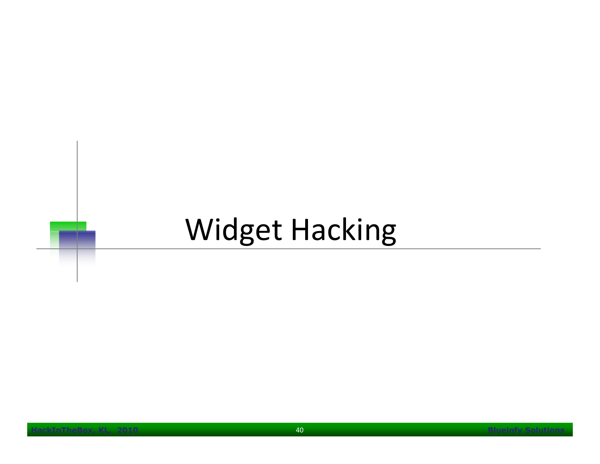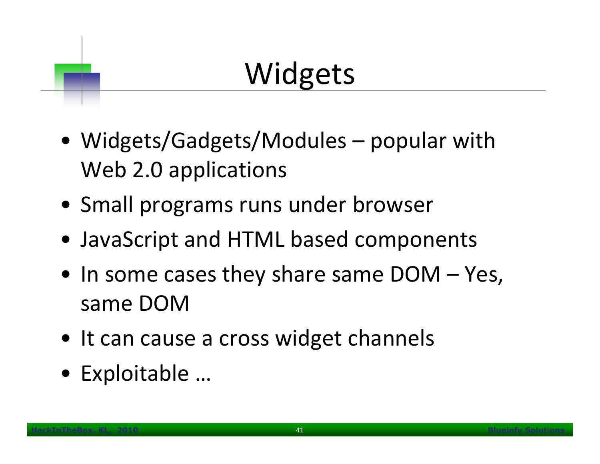# Widgets

- Widgets/Gadgets/Modules popular with Web 2.0 applications
- Small programs runs under browser
- JavaScript and HTML based components
- In some cases they share same DOM Yes, same DOM
- It can cause a cross widget channels
- Exploitable …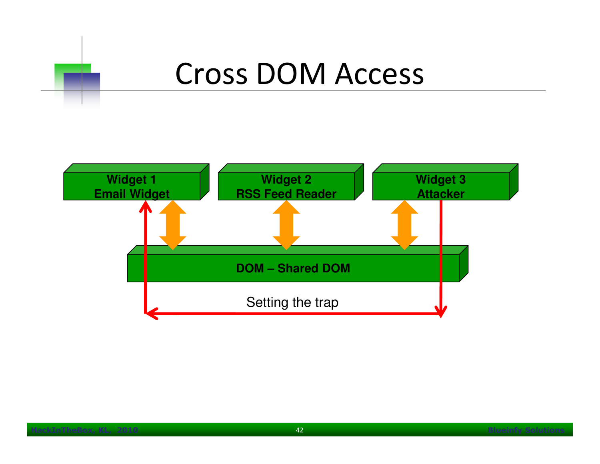

#### Cross DOM Access

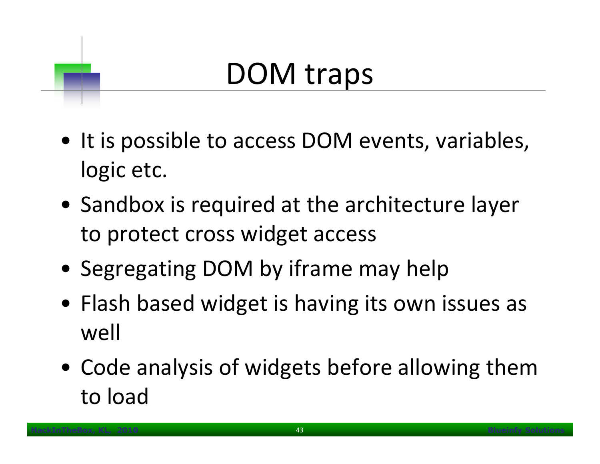#### DOM traps

- It is possible to access DOM events, variables, logic etc.
- Sandbox is required at the architecture layer to protect cross widget access
- Segregating DOM by iframe may help
- Flash based widget is having its own issues as well
- Code analysis of widgets before allowing them to load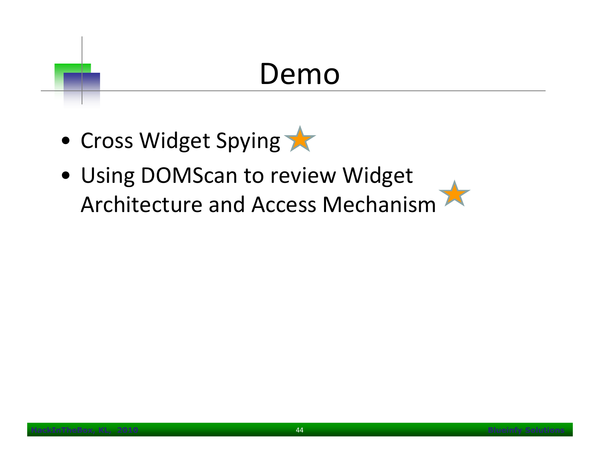#### Demo

- Cross Widget Spying
- Using DOMScan to review Widget Architecture and Access Mechanism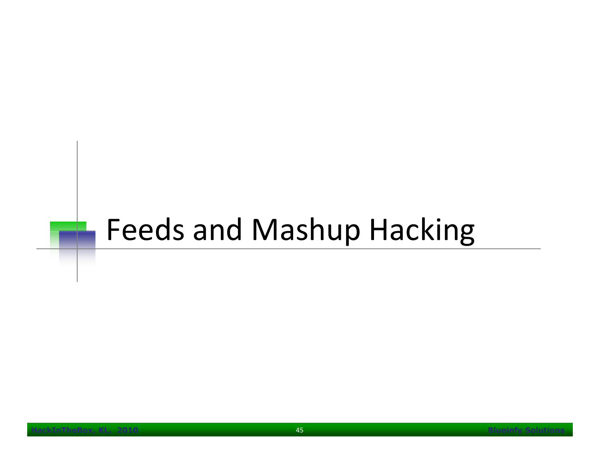#### Feeds and Mashup Hacking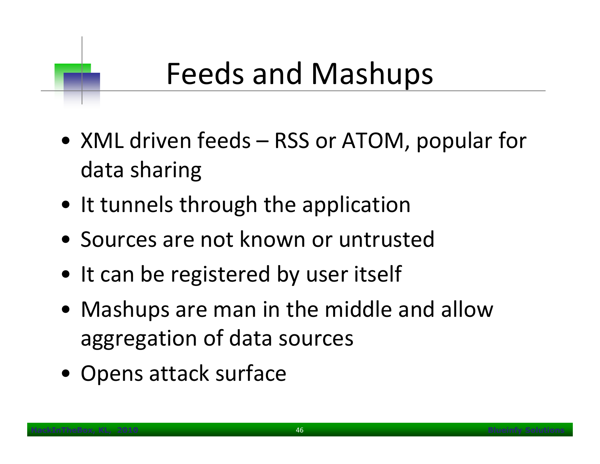# Feeds and Mashups

- XML driven feeds RSS or ATOM, popular for data sharing
- It tunnels through the application
- Sources are not known or untrusted
- It can be registered by user itself
- Mashups are man in the middle and allow aggregation of data sources
- Opens attack surface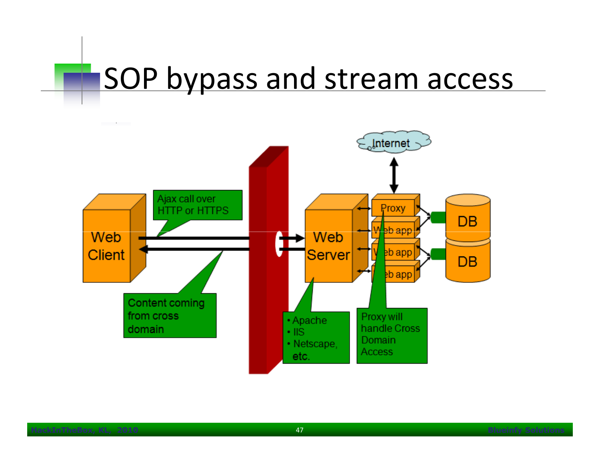#### SOP bypass and stream access

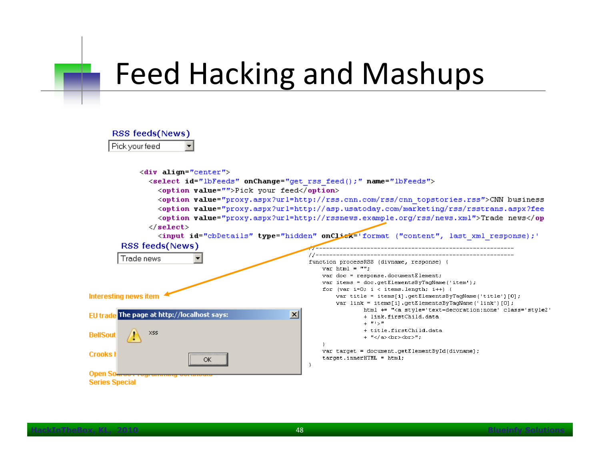### Feed Hacking and Mashups

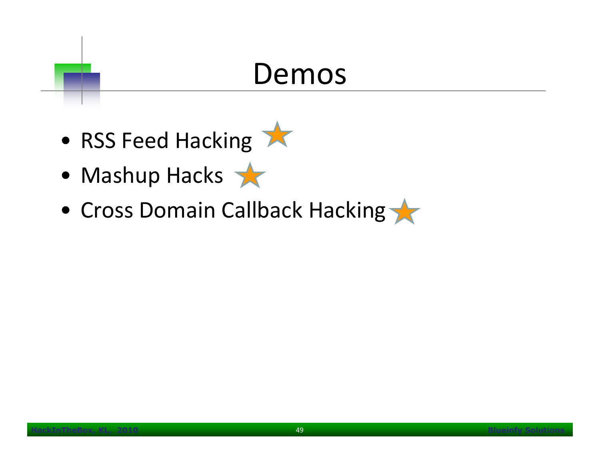#### Demos

- RSS Feed Hacking
- Mashup Hacks
- Cross Domain Callback Hacking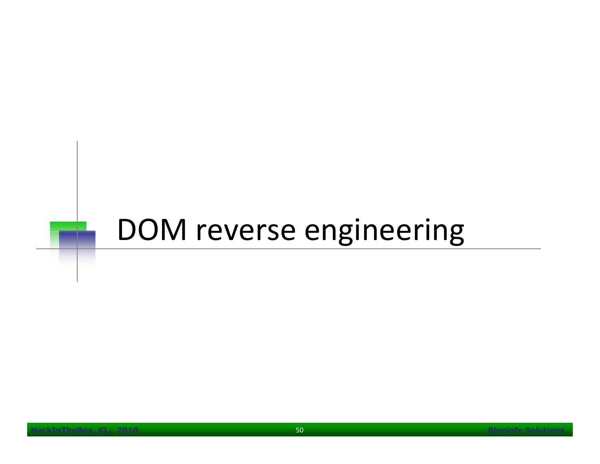#### DOM reverse engineering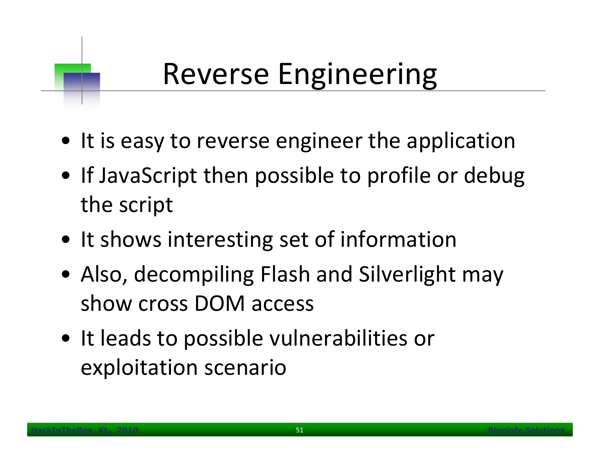# Reverse Engineering

- It is easy to reverse engineer the application
- If JavaScript then possible to profile or debug the script
- It shows interesting set of information
- Also, decompiling Flash and Silverlight may show cross DOM access
- It leads to possible vulnerabilities or exploitation scenario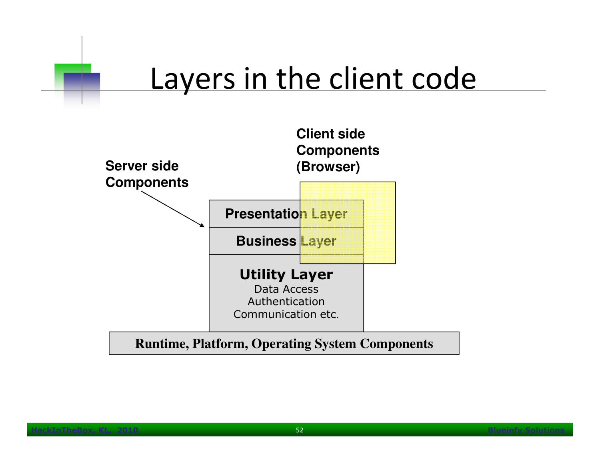#### Layers in the client code

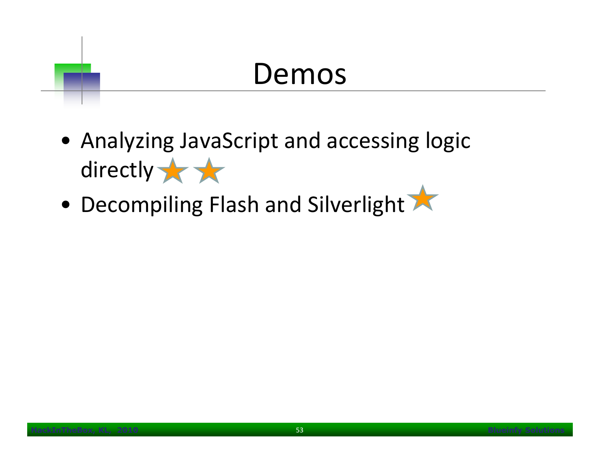#### Demos

- Analyzing JavaScript and accessing logic directly to
- Decompiling Flash and Silverlight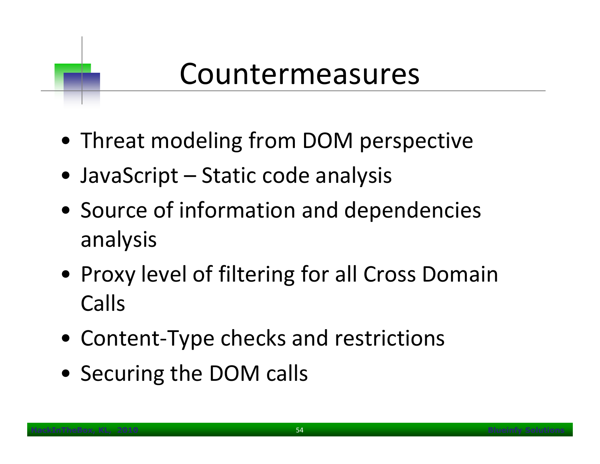#### Countermeasures

- Threat modeling from DOM perspective
- JavaScript Static code analysis
- Source of information and dependencies analysis
- Proxy level of filtering for all Cross Domain Calls
- Content-Type checks and restrictions
- Securing the DOM calls